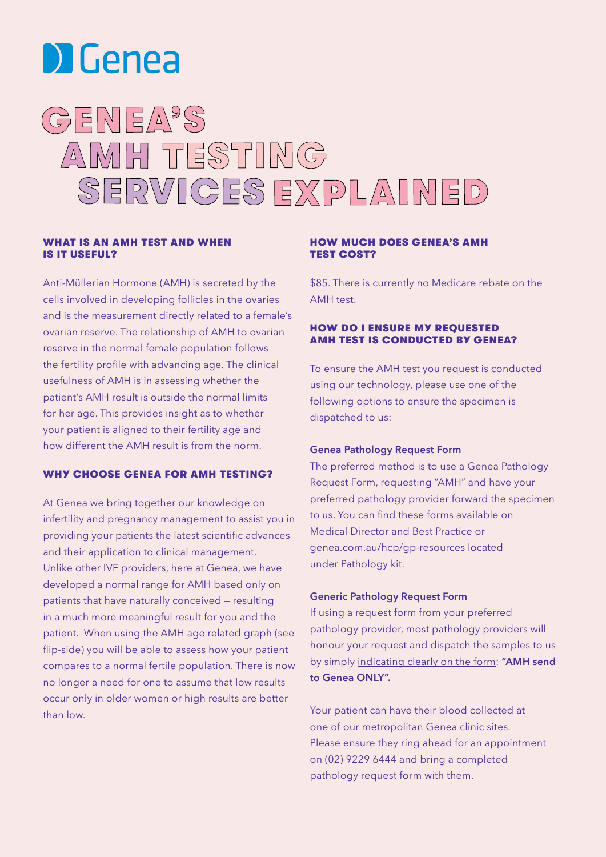

# GENEA'S AMH TESTING SERVICES EXPLAINED

#### WHAT IS AN AMH TEST AND WHEN IS IT USEFUL?

Anti-Müllerian Hormone (AMH) is secreted by the cells involved in developing follicles in the ovaries and is the measurement directly related to a female's ovarian reserve. The relationship of AMH to ovarian reserve in the normal female population follows the fertility profile with advancing age. The clinical usefulness of AMH is in assessing whether the patient's AMH result is outside the normal limits for her age. This provides insight as to whether your patient is aligned to their fertility age and how different the AMH result is from the norm.

### WHY CHOOSE GENEA FOR AMH TESTING?

At Genea we bring together our knowledge on infertility and pregnancy management to assist you in providing your patients the latest scientific advances and their application to clinical management. Unlike other IVF providers, here at Genea, we have developed a normal range for AMH based only on patients that have naturally conceived — resulting in a much more meaningful result for you and the patient. When using the AMH age related graph (see flip-side) you will be able to assess how your patient compares to a normal fertile population. There is now no longer a need for one to assume that low results occur only in older women or high results are better than low.

#### HOW MUCH DOES GENEA'S AMH TEST COST?

\$85. There is currently no Medicare rebate on the AMH test.

#### HOW DO I ENSURE MY REQUESTED AMH TEST IS CONDUCTED BY GENEA?

To ensure the AMH test you request is conducted using our technology, please use one of the following options to ensure the specimen is dispatched to us:

#### Genea Pathology Request Form

The preferred method is to use a Genea Pathology Request Form, requesting "AMH" and have your preferred pathology provider forward the specimen to us. You can find these forms available on Medical Director and Best Practice or genea.com.au/hcp/gp-resources located under Pathology kit.

#### Generic Pathology Request Form

If using a request form from your preferred pathology provider, most pathology providers will honour your request and dispatch the samples to us by simply indicating clearly on the form: "AMH send to Genea ONLY".

Your patient can have their blood collected at one of our metropolitan Genea clinic sites. Please ensure they ring ahead for an appointment on (02) 9229 6444 and bring a completed pathology request form with them.